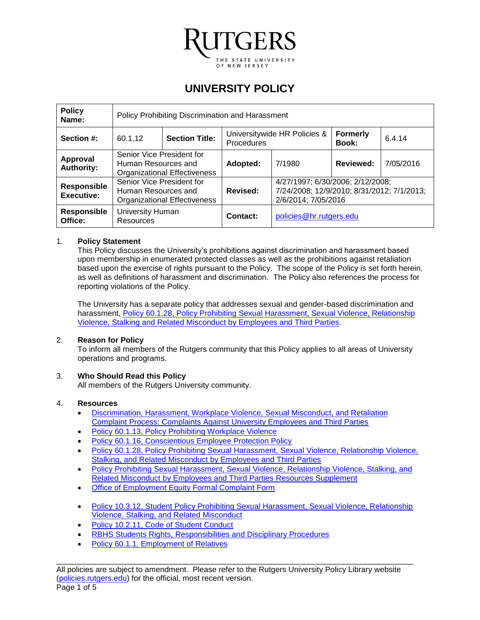

# **UNIVERSITY POLICY**

| <b>Policy</b><br>Name:           | Policy Prohibiting Discrimination and Harassment                                        |  |                                                   |                                                                                                       |                          |           |
|----------------------------------|-----------------------------------------------------------------------------------------|--|---------------------------------------------------|-------------------------------------------------------------------------------------------------------|--------------------------|-----------|
| Section #:                       | <b>Section Title:</b><br>60.1.12                                                        |  | Universitywide HR Policies &<br><b>Procedures</b> |                                                                                                       | <b>Formerly</b><br>Book: | 6.4.14    |
| Approval<br><b>Authority:</b>    | Senior Vice President for<br>Human Resources and<br><b>Organizational Effectiveness</b> |  | Adopted:                                          | 7/1980                                                                                                | <b>Reviewed:</b>         | 7/05/2016 |
| Responsible<br><b>Executive:</b> | Senior Vice President for<br>Human Resources and<br><b>Organizational Effectiveness</b> |  | Revised:                                          | 4/27/1997; 6/30/2006; 2/12/2008;<br>7/24/2008; 12/9/2010; 8/31/2012; 7/1/2013;<br>2/6/2014; 7/05/2016 |                          |           |
| <b>Responsible</b><br>Office:    | <b>University Human</b><br><b>Resources</b>                                             |  | Contact:                                          | policies@hr.rutgers.edu                                                                               |                          |           |

#### 1. **Policy Statement**

This Policy discusses the University's prohibitions against discrimination and harassment based upon membership in enumerated protected classes as well as the prohibitions against retaliation based upon the exercise of rights pursuant to the Policy. The scope of the Policy is set forth herein, as well as definitions of harassment and discrimination. The Policy also references the process for reporting violations of the Policy.

The University has a separate policy that addresses sexual and gender-based discrimination and harassment, [Policy 60.1.28, Policy Prohibiting Sexual Harassment, Sexual Violence, Relationship](http://policies.rutgers.edu/60128-current-00004388xde114pdf)  [Violence, Stalking and Related Misconduct by Employees and Third Parties.](http://policies.rutgers.edu/60128-current-00004388xde114pdf)

## 2. **Reason for Policy**

To inform all members of the Rutgers community that this Policy applies to all areas of University operations and programs.

## 3. **Who Should Read this Policy**

All members of the Rutgers University community.

#### 4. **Resources**

- [Discrimination, Harassment, Workplace Violence, Sexual Misconduct, and Retaliation](https://uhr.rutgers.edu/sites/default/files/userfiles/DiscriminationHarassmentComplaintProcess.pdf)  [Complaint Process: Complaints Against University Employees and Third Parties](https://uhr.rutgers.edu/sites/default/files/userfiles/DiscriminationHarassmentComplaintProcess.pdf)
- [Policy 60.1.13, Policy Prohibiting Workplace Violence](http://policies.rutgers.edu/60113-currentpdf)
- [Policy 60.1.16, Conscientious Employee Protection Policy](http://policies.rutgers.edu/60116-currentpdf)
- [Policy 60.1.28, Policy Prohibiting Sexual Harassment, Sexual Violence, Relationship Violence,](http://policies.rutgers.edu/60128-current-00004388xde114pdf)  **[Stalking, and Related Misconduct by Employees and Third Parties](http://policies.rutgers.edu/60128-current-00004388xde114pdf)**
- [Policy Prohibiting Sexual Harassment, Sexual Violence, Relationship Violence, Stalking, and](https://uhr.rutgers.edu/sites/default/files/userfiles/SexualMisconductPolicyResourcesSupplement.pdf)  [Related Misconduct by Employees and Third Parties](https://uhr.rutgers.edu/sites/default/files/userfiles/SexualMisconductPolicyResourcesSupplement.pdf) Resources Supplement
- [Office of Employment Equity Formal Complaint Form](https://uhr.rutgers.edu/sites/default/files/userfiles/OEEComplaintForm.pdf)
- [Policy 10.3.12, Student Policy Prohibiting Sexual Harassment, Sexual Violence, Relationship](http://policies.rutgers.edu/sites/policies/files/10.3.12-current.pdf)  [Violence, Stalking, and Related Misconduct](http://policies.rutgers.edu/sites/policies/files/10.3.12-current.pdf)
- [Policy 10.2.11, Code of Student Conduct](http://policies.rutgers.edu/sites/policies/files/10.2.11-current.pdf)
- [RBHS Students Rights, Responsibilities and Disciplinary Procedures](http://academicaffairs.rutgers.edu/sites/academicaffairs/files/RBHS%20Chancellor%20Policy_Students%20Rights%2C%20Responsibilities%2C%20and%20Disciplinary%20Procedures%20_6.19.13.pdf)
- [Policy 60.1.1, Employment of Relatives](http://policies.rutgers.edu/sites/policies/files/60.1.1%20-%20current.pdf)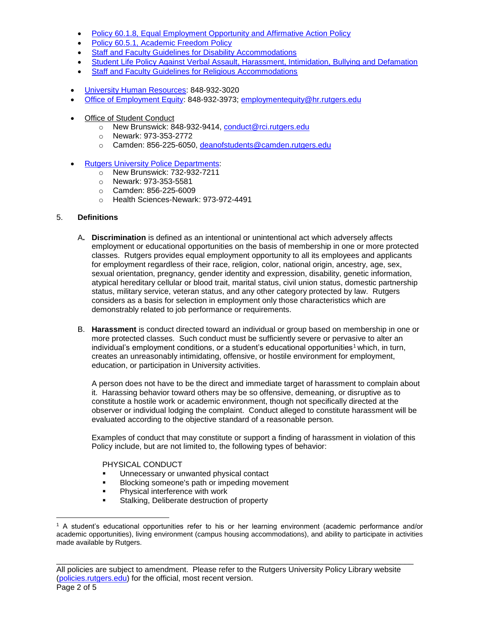- [Policy 60.1.8, Equal Employment Opportunity and Affirmative Action Policy](http://policies.rutgers.edu/sites/policies/files/60.1.8%20-%20current.pdf)
- [Policy 60.5.1, Academic Freedom Policy](http://policies.rutgers.edu/sites/policies/files/60.5.1-current.pdf)
- [Staff and Faculty Guidelines for Disability Accommodations](http://uhr.rutgers.edu/sites/default/files/userfiles/AccommodationGuidelinesForStaff_000.pdf)
- [Student Life Policy Against Verbal Assault, Harassment, Intimidation, Bullying and Defamation](http://visiting.rutgers.edu/policies/university-student-life-policy-against-verbal-assault-harassment-intimidation-bullying-and)
- [Staff and Faculty Guidelines for Religious Accommodations](http://uhr.rutgers.edu/uhr-units-offices/office-employment-equity/staff-and-faculty-guidelines-religious-accommodation)
- [University Human Resources:](http://uhr.rutgers.edu/) 848-932-3020
- [Office of Employment Equity:](http://uhr.rutgers.edu/uhr-units-offices/office-employment-equity) 848-932-3973; [employmentequity@hr.rutgers.edu](mailto:employmentequity@hr.rutgers.edu)
- Office of Student Conduct
	- o New Brunswick: 848-932-9414, conduct@rci.rutgers.edu
	- o Newark: 973-353-2772
	- o Camden: 856-225-6050, deanofstudents@camden.rutgers.edu
- **[Rutgers University Police Departments:](http://rupd.rutgers.edu/)** 
	- o New Brunswick: 732-932-7211
	- o Newark: 973-353-5581
	- o Camden: 856-225-6009
	- o Health Sciences-Newark: 973-972-4491

## 5. **Definitions**

- A**. Discrimination** is defined as an intentional or unintentional act which adversely affects employment or educational opportunities on the basis of membership in one or more protected classes. Rutgers provides equal employment opportunity to all its employees and applicants for employment regardless of their race, religion, color, national origin, ancestry, age, sex, sexual orientation, pregnancy, gender identity and expression, disability, genetic information, atypical hereditary cellular or blood trait, marital status, civil union status, domestic partnership status, military service, veteran status, and any other category protected by law. Rutgers considers as a basis for selection in employment only those characteristics which are demonstrably related to job performance or requirements.
- B. **Harassment** is conduct directed toward an individual or group based on membership in one or more protected classes. Such conduct must be sufficiently severe or pervasive to alter an individual's employment conditions, or a student's educational opportunities<sup>1</sup> which, in turn, creates an unreasonably intimidating, offensive, or hostile environment for employment, education, or participation in University activities.

A person does not have to be the direct and immediate target of harassment to complain about it. Harassing behavior toward others may be so offensive, demeaning, or disruptive as to constitute a hostile work or academic environment, though not specifically directed at the observer or individual lodging the complaint. Conduct alleged to constitute harassment will be evaluated according to the objective standard of a reasonable person.

Examples of conduct that may constitute or support a finding of harassment in violation of this Policy include, but are not limited to, the following types of behavior:

PHYSICAL CONDUCT

- Unnecessary or unwanted physical contact
- **Blocking someone's path or impeding movement**
- **Physical interference with work**
- Stalking, Deliberate destruction of property

 $\overline{a}$ <sup>1</sup> A student's educational opportunities refer to his or her learning environment (academic performance and/or academic opportunities), living environment (campus housing accommodations), and ability to participate in activities made available by Rutgers.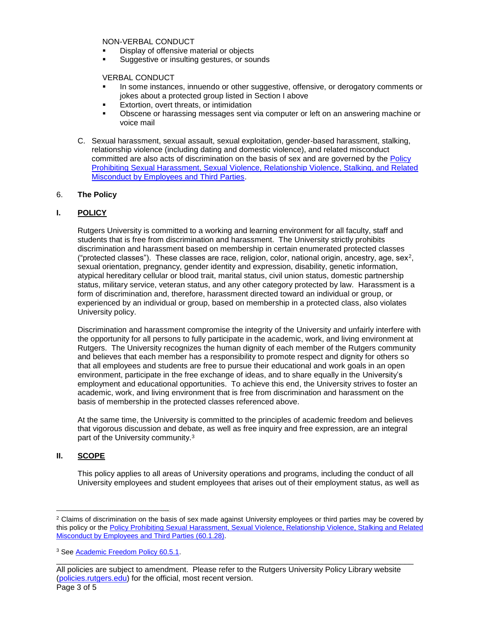NON-VERBAL CONDUCT

- Display of offensive material or objects
- **Suggestive or insulting gestures, or sounds**

VERBAL CONDUCT

- In some instances, innuendo or other suggestive, offensive, or derogatory comments or jokes about a protected group listed in Section I above
- Extortion, overt threats, or intimidation
- Obscene or harassing messages sent via computer or left on an answering machine or voice mail
- C. Sexual harassment, sexual assault, sexual exploitation, gender-based harassment, stalking, relationship violence (including dating and domestic violence), and related misconduct committed are also acts of discrimination on the basis of sex and are governed by the [Policy](http://policies.rutgers.edu/60128-current-00004388xde114pdf)  [Prohibiting Sexual Harassment, Sexual Violence, Relationship Violence, Stalking, and Related](http://policies.rutgers.edu/60128-current-00004388xde114pdf)  [Misconduct by Employees and Third Parties.](http://policies.rutgers.edu/60128-current-00004388xde114pdf)

#### 6. **The Policy**

## **I. POLICY**

Rutgers University is committed to a working and learning environment for all faculty, staff and students that is free from discrimination and harassment. The University strictly prohibits discrimination and harassment based on membership in certain enumerated protected classes ("protected classes"). These classes are race, religion, color, national origin, ancestry, age, sex<sup>2</sup>, sexual orientation, pregnancy, gender identity and expression, disability, genetic information, atypical hereditary cellular or blood trait, marital status, civil union status, domestic partnership status, military service, veteran status, and any other category protected by law. Harassment is a form of discrimination and, therefore, harassment directed toward an individual or group, or experienced by an individual or group, based on membership in a protected class, also violates University policy.

Discrimination and harassment compromise the integrity of the University and unfairly interfere with the opportunity for all persons to fully participate in the academic, work, and living environment at Rutgers. The University recognizes the human dignity of each member of the Rutgers community and believes that each member has a responsibility to promote respect and dignity for others so that all employees and students are free to pursue their educational and work goals in an open environment, participate in the free exchange of ideas, and to share equally in the University's employment and educational opportunities. To achieve this end, the University strives to foster an academic, work, and living environment that is free from discrimination and harassment on the basis of membership in the protected classes referenced above.

At the same time, the University is committed to the principles of academic freedom and believes that vigorous discussion and debate, as well as free inquiry and free expression, are an integral part of the University community.<sup>3</sup>

#### **II. SCOPE**

This policy applies to all areas of University operations and programs, including the conduct of all University employees and student employees that arises out of their employment status, as well as

\_\_\_\_\_\_\_\_\_\_\_\_\_\_\_\_\_\_\_\_\_\_\_\_\_\_\_\_\_\_\_\_\_\_\_\_\_\_\_\_\_\_\_\_\_\_\_\_\_\_\_\_\_\_\_\_\_\_\_\_\_\_\_\_\_\_\_\_\_\_\_\_\_\_\_\_\_\_\_\_\_\_

 $\overline{a}$ <sup>2</sup> Claims of discrimination on the basis of sex made against University employees or third parties may be covered by this policy or the Policy Prohibiting Sexual Harassment, Sexual Violence, Relationship Violence, Stalking and Related [Misconduct by Employees and Third Parties \(60.1.28\).](http://policies.rutgers.edu/60128-current-00004388xde114pdf)

<sup>&</sup>lt;sup>3</sup> See [Academic Freedom Policy 60.5.1.](http://policies.rutgers.edu/6051-currentpdf)

All policies are subject to amendment. Please refer to the Rutgers University Policy Library website [\(policies.rutgers.edu\)](https://policies.rutgers.edu/) for the official, most recent version. Page 3 of 5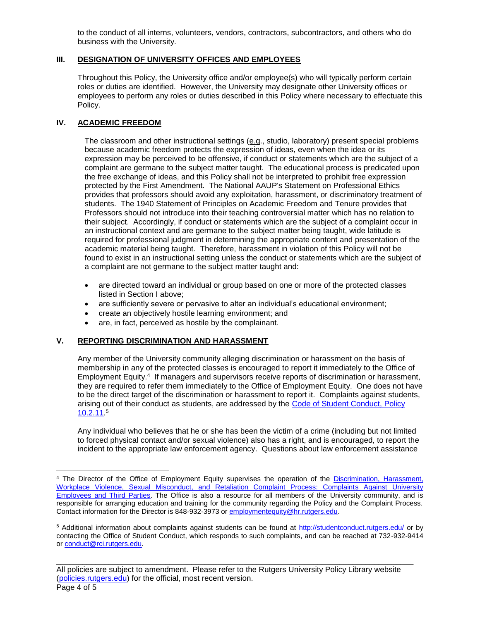to the conduct of all interns, volunteers, vendors, contractors, subcontractors, and others who do business with the University.

## **III. DESIGNATION OF UNIVERSITY OFFICES AND EMPLOYEES**

Throughout this Policy, the University office and/or employee(s) who will typically perform certain roles or duties are identified. However, the University may designate other University offices or employees to perform any roles or duties described in this Policy where necessary to effectuate this Policy.

# **IV. ACADEMIC FREEDOM**

 $\overline{a}$ 

The classroom and other instructional settings (e.g., studio, laboratory) present special problems because academic freedom protects the expression of ideas, even when the idea or its expression may be perceived to be offensive, if conduct or statements which are the subject of a complaint are germane to the subject matter taught. The educational process is predicated upon the free exchange of ideas, and this Policy shall not be interpreted to prohibit free expression protected by the First Amendment. The National AAUP's Statement on Professional Ethics provides that professors should avoid any exploitation, harassment, or discriminatory treatment of students. The 1940 Statement of Principles on Academic Freedom and Tenure provides that Professors should not introduce into their teaching controversial matter which has no relation to their subject. Accordingly, if conduct or statements which are the subject of a complaint occur in an instructional context and are germane to the subject matter being taught, wide latitude is required for professional judgment in determining the appropriate content and presentation of the academic material being taught. Therefore, harassment in violation of this Policy will not be found to exist in an instructional setting unless the conduct or statements which are the subject of a complaint are not germane to the subject matter taught and:

- are directed toward an individual or group based on one or more of the protected classes listed in Section I above;
- are sufficiently severe or pervasive to alter an individual's educational environment;
- create an objectively hostile learning environment; and
- are, in fact, perceived as hostile by the complainant.

## **V. REPORTING DISCRIMINATION AND HARASSMENT**

Any member of the University community alleging discrimination or harassment on the basis of membership in any of the protected classes is encouraged to report it immediately to the Office of Employment Equity.<sup>4</sup> If managers and supervisors receive reports of discrimination or harassment, they are required to refer them immediately to the Office of Employment Equity. One does not have to be the direct target of the discrimination or harassment to report it. Complaints against students, arising out of their conduct as students, are addressed by the [Code of Student Conduct, Policy](http://policies.rutgers.edu/10211-currentpdf)   $10.2.11<sup>5</sup>$ 

Any individual who believes that he or she has been the victim of a crime (including but not limited to forced physical contact and/or sexual violence) also has a right, and is encouraged, to report the incident to the appropriate law enforcement agency. Questions about law enforcement assistance

<sup>4</sup> The Director of the Office of Employment Equity supervises the operation of the [Discrimination, Harassment,](https://uhr.rutgers.edu/sites/default/files/userfiles/DiscriminationHarassmentComplaintProcess.pdf)  Workplace Violence, Sexual Misconduct, and Retaliation Complaint Process: Complaints Against University [Employees and Third Parties.](https://uhr.rutgers.edu/sites/default/files/userfiles/DiscriminationHarassmentComplaintProcess.pdf) The Office is also a resource for all members of the University community, and is responsible for arranging education and training for the community regarding the Policy and the Complaint Process. Contact information for the Director is 848-932-3973 o[r employmentequity@hr.rutgers.edu.](mailto:employmentequity@hr.rutgers.edu)

<sup>5</sup> Additional information about complaints against students can be found at<http://studentconduct.rutgers.edu/> or by contacting the Office of Student Conduct, which responds to such complaints, and can be reached at 732-932-9414 o[r conduct@rci.rutgers.edu.](mailto:conduct@rci.rutgers.edu)